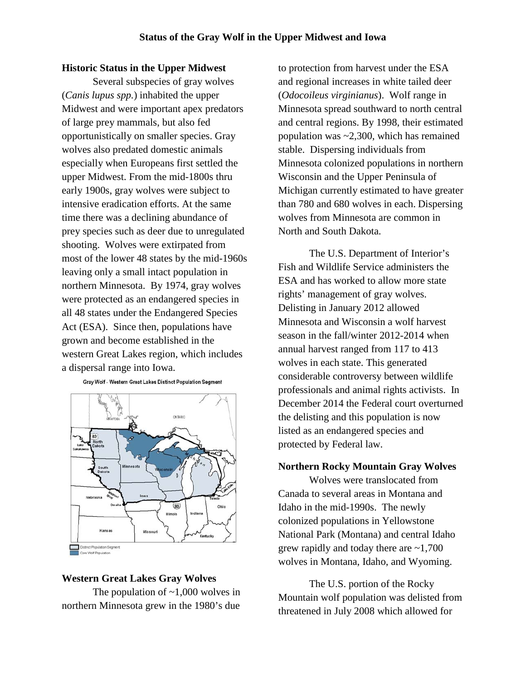# **Historic Status in the Upper Midwest**

Several subspecies of gray wolves (*Canis lupus spp.*) inhabited the upper Midwest and were important apex predators of large prey mammals, but also fed opportunistically on smaller species. Gray wolves also predated domestic animals especially when Europeans first settled the upper Midwest. From the mid-1800s thru early 1900s, gray wolves were subject to intensive eradication efforts. At the same time there was a declining abundance of prey species such as deer due to unregulated shooting. Wolves were extirpated from most of the lower 48 states by the mid-1960s leaving only a small intact population in northern Minnesota. By 1974, gray wolves were protected as an endangered species in all 48 states under the Endangered Species Act (ESA). Since then, populations have grown and become established in the western Great Lakes region, which includes a dispersal range into Iowa.

Gray Wolf - Western Great Lakes Distinct Population Segment



#### **Western Great Lakes Gray Wolves**

The population of  $\sim$ 1,000 wolves in northern Minnesota grew in the 1980's due to protection from harvest under the ESA and regional increases in white tailed deer (*Odocoileus virginianus*). Wolf range in Minnesota spread southward to north central and central regions. By 1998, their estimated population was ~2,300, which has remained stable. Dispersing individuals from Minnesota colonized populations in northern Wisconsin and the Upper Peninsula of Michigan currently estimated to have greater than 780 and 680 wolves in each. Dispersing wolves from Minnesota are common in North and South Dakota.

The U.S. Department of Interior's Fish and Wildlife Service administers the ESA and has worked to allow more state rights' management of gray wolves. Delisting in January 2012 allowed Minnesota and Wisconsin a wolf harvest season in the fall/winter 2012-2014 when annual harvest ranged from 117 to 413 wolves in each state. This generated considerable controversy between wildlife professionals and animal rights activists. In December 2014 the Federal court overturned the delisting and this population is now listed as an endangered species and protected by Federal law.

### **Northern Rocky Mountain Gray Wolves**

Wolves were translocated from Canada to several areas in Montana and Idaho in the mid-1990s. The newly colonized populations in Yellowstone National Park (Montana) and central Idaho grew rapidly and today there are  $\sim 1,700$ wolves in Montana, Idaho, and Wyoming.

The U.S. portion of the Rocky Mountain wolf population was delisted from threatened in July 2008 which allowed for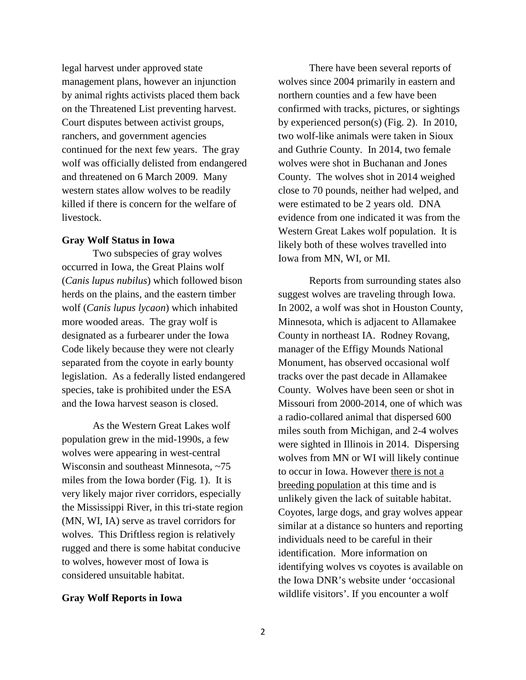legal harvest under approved state management plans, however an injunction by animal rights activists placed them back on the Threatened List preventing harvest. Court disputes between activist groups, ranchers, and government agencies continued for the next few years. The gray wolf was officially delisted from endangered and threatened on 6 March 2009. Many western states allow wolves to be readily killed if there is concern for the welfare of livestock.

# **Gray Wolf Status in Iowa**

Two subspecies of gray wolves occurred in Iowa, the Great Plains wolf (*Canis lupus nubilus*) which followed bison herds on the plains, and the eastern timber wolf (*Canis lupus lycaon*) which inhabited more wooded areas. The gray wolf is designated as a furbearer under the Iowa Code likely because they were not clearly separated from the coyote in early bounty legislation. As a federally listed endangered species, take is prohibited under the ESA and the Iowa harvest season is closed.

As the Western Great Lakes wolf population grew in the mid-1990s, a few wolves were appearing in west-central Wisconsin and southeast Minnesota, ~75 miles from the Iowa border (Fig. 1). It is very likely major river corridors, especially the Mississippi River, in this tri-state region (MN, WI, IA) serve as travel corridors for wolves. This Driftless region is relatively rugged and there is some habitat conducive to wolves, however most of Iowa is considered unsuitable habitat.

# **Gray Wolf Reports in Iowa**

There have been several reports of wolves since 2004 primarily in eastern and northern counties and a few have been confirmed with tracks, pictures, or sightings by experienced person(s) (Fig. 2). In 2010, two wolf-like animals were taken in Sioux and Guthrie County. In 2014, two female wolves were shot in Buchanan and Jones County. The wolves shot in 2014 weighed close to 70 pounds, neither had welped, and were estimated to be 2 years old. DNA evidence from one indicated it was from the Western Great Lakes wolf population. It is likely both of these wolves travelled into Iowa from MN, WI, or MI.

Reports from surrounding states also suggest wolves are traveling through Iowa. In 2002, a wolf was shot in Houston County, Minnesota, which is adjacent to Allamakee County in northeast IA. Rodney Rovang, manager of the Effigy Mounds National Monument, has observed occasional wolf tracks over the past decade in Allamakee County. Wolves have been seen or shot in Missouri from 2000-2014, one of which was a radio-collared animal that dispersed 600 miles south from Michigan, and 2-4 wolves were sighted in Illinois in 2014. Dispersing wolves from MN or WI will likely continue to occur in Iowa. However there is not a breeding population at this time and is unlikely given the lack of suitable habitat. Coyotes, large dogs, and gray wolves appear similar at a distance so hunters and reporting individuals need to be careful in their identification. More information on identifying wolves vs coyotes is available on the Iowa DNR's website under 'occasional wildlife visitors'. If you encounter a wolf